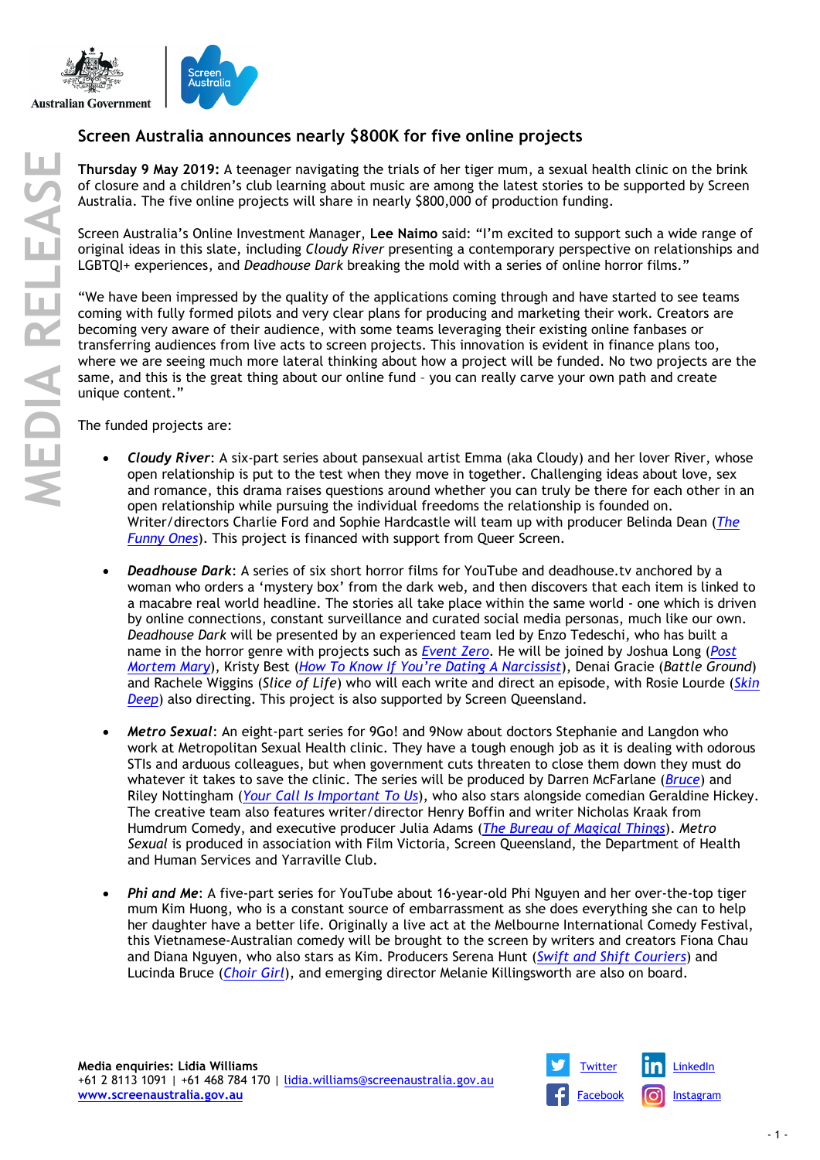



## **Screen Australia announces nearly \$800K for five online projects**

**Thursday 9 May 2019:** A teenager navigating the trials of her tiger mum, a sexual health clinic on the brink of closure and a children's club learning about music are among the latest stories to be supported by Screen Australia. The five online projects will share in nearly \$800,000 of production funding.

Screen Australia's Online Investment Manager, **Lee Naimo** said: "I'm excited to support such a wide range of original ideas in this slate, including *Cloudy River* presenting a contemporary perspective on relationships and LGBTQI+ experiences, and *Deadhouse Dark* breaking the mold with a series of online horror films."

"We have been impressed by the quality of the applications coming through and have started to see teams coming with fully formed pilots and very clear plans for producing and marketing their work. Creators are becoming very aware of their audience, with some teams leveraging their existing online fanbases or transferring audiences from live acts to screen projects. This innovation is evident in finance plans too, where we are seeing much more lateral thinking about how a project will be funded. No two projects are the same, and this is the great thing about our online fund – you can really carve your own path and create unique content."

The funded projects are:

- *Cloudy River*: A six-part series about pansexual artist Emma (aka Cloudy) and her lover River, whose open relationship is put to the test when they move in together. Challenging ideas about love, sex and romance, this drama raises questions around whether you can truly be there for each other in an open relationship while pursuing the individual freedoms the relationship is founded on. Writer/directors Charlie Ford and Sophie Hardcastle will team up with producer Belinda Dean (*[The](https://www.screenaustralia.gov.au/the-screen-guide/t/the-funny-ones-2017/36200)  [Funny Ones](https://www.screenaustralia.gov.au/the-screen-guide/t/the-funny-ones-2017/36200)*). This project is financed with support from Queer Screen.
- *Deadhouse Dark*: A series of six short horror films for YouTube and deadhouse.tv anchored by a woman who orders a 'mystery box' from the dark web, and then discovers that each item is linked to a macabre real world headline. The stories all take place within the same world - one which is driven by online connections, constant surveillance and curated social media personas, much like our own. *Deadhouse Dark* will be presented by an experienced team led by Enzo Tedeschi, who has built a name in the horror genre with projects such as *[Event Zero](https://www.screenaustralia.gov.au/the-screen-guide/t/event-zero-2017/35334)*. He will be joined by Joshua Long (*[Post](https://www.screenaustralia.gov.au/the-screen-guide/t/post-mortem-mary-2017/37591)  [Mortem Mary](https://www.screenaustralia.gov.au/the-screen-guide/t/post-mortem-mary-2017/37591)*), Kristy Best (*[How To Know If You're Dating A Narcissist](https://www.screenaustralia.gov.au/the-screen-guide/t/how-to-know-if-youre-dating-a-narcissist-2018/37599)*), Denai Gracie (*Battle Ground*) and Rachele Wiggins (*Slice of Life*) who will each write and direct an episode, with Rosie Lourde (*[Skin](https://www.screenaustralia.gov.au/the-screen-guide/t/skin-deep-2014/33466)  [Deep](https://www.screenaustralia.gov.au/the-screen-guide/t/skin-deep-2014/33466)*) also directing. This project is also supported by Screen Queensland.
- *Metro Sexual*: An eight-part series for 9Go! and 9Now about doctors Stephanie and Langdon who work at Metropolitan Sexual Health clinic. They have a tough enough job as it is dealing with odorous STIs and arduous colleagues, but when government cuts threaten to close them down they must do whatever it takes to save the clinic. The series will be produced by Darren McFarlane (*[Bruce](https://www.screenaustralia.gov.au/the-screen-guide/t/bruce-2016/29272)*) and Riley Nottingham (*[Your Call Is Important To Us](https://www.screenaustralia.gov.au/the-screen-guide/t/your-call-is-important-to-us-2017/37320)*), who also stars alongside comedian Geraldine Hickey. The creative team also features writer/director Henry Boffin and writer Nicholas Kraak from Humdrum Comedy, and executive producer Julia Adams (*[The Bureau of Magical Things](https://www.screenaustralia.gov.au/the-screen-guide/t/the-bureau-of-magical-things-2018/35152)*). *Metro Sexual* is produced in association with Film Victoria, Screen Queensland, the Department of Health and Human Services and Yarraville Club.
- *Phi and Me*: A five-part series for YouTube about 16-year-old Phi Nguyen and her over-the-top tiger mum Kim Huong, who is a constant source of embarrassment as she does everything she can to help her daughter have a better life. Originally a live act at the Melbourne International Comedy Festival, this Vietnamese-Australian comedy will be brought to the screen by writers and creators Fiona Chau and Diana Nguyen, who also stars as Kim. Producers Serena Hunt (*[Swift and Shift Couriers](https://www.screenaustralia.gov.au/the-screen-guide/t/swift-and-shift-couriers-2009/26410)*) and Lucinda Bruce (*[Choir Girl](https://www.screenaustralia.gov.au/the-screen-guide/t/choir-girl-2017/35936)*), and emerging director Melanie Killingsworth are also on board.